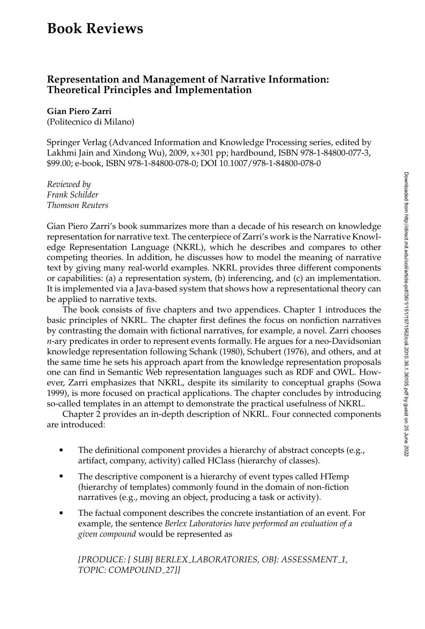# **Book Reviews**

## **Representation and Management of Narrative Information: Theoretical Principles and Implementation**

#### **Gian Piero Zarri**

(Politecnico di Milano)

Springer Verlag (Advanced Information and Knowledge Processing series, edited by Lakhmi Jain and Xindong Wu), 2009, x+301 pp; hardbound, ISBN 978-1-84800-077-3, \$99.00; e-book, ISBN 978-1-84800-078-0; DOI 10.1007/978-1-84800-078-0

*Reviewed by Frank Schilder Thomson Reuters*

Gian Piero Zarri's book summarizes more than a decade of his research on knowledge representation for narrative text. The centerpiece of Zarri's work is the Narrative Knowledge Representation Language (NKRL), which he describes and compares to other competing theories. In addition, he discusses how to model the meaning of narrative text by giving many real-world examples. NKRL provides three different components or capabilities: (a) a representation system, (b) inferencing, and (c) an implementation. It is implemented via a Java-based system that shows how a representational theory can be applied to narrative texts.

The book consists of five chapters and two appendices. Chapter 1 introduces the basic principles of NKRL. The chapter first defines the focus on nonfiction narratives by contrasting the domain with fictional narratives, for example, a novel. Zarri chooses *n*-ary predicates in order to represent events formally. He argues for a neo-Davidsonian knowledge representation following Schank (1980), Schubert (1976), and others, and at the same time he sets his approach apart from the knowledge representation proposals one can find in Semantic Web representation languages suchas RDF and OWL. However, Zarri emphasizes that NKRL, despite its similarity to conceptual graphs (Sowa 1999), is more focused on practical applications. The chapter concludes by introducing so-called templates in an attempt to demonstrate the practical usefulness of NKRL.

Chapter 2 provides an in-depth description of NKRL. Four connected components are introduced:

- The definitional component provides a hierarchy of abstract concepts (e.g., artifact, company, activity) called HClass (hierarchy of classes).
- The descriptive component is a hierarchy of event types called HTemp (hierarchy of templates) commonly found in the domain of non-fiction narratives (e.g., moving an object, producing a task or activity).
- The factual component describes the concrete instantiation of an event. For example, the sentence *Berlex Laboratories have performed an evaluation of a given compound* would be represented as

*[PRODUCE: [ SUBJ BERLEX LABORATORIES, OBJ: ASSESSMENT 1, TOPIC: COMPOUND 27]]*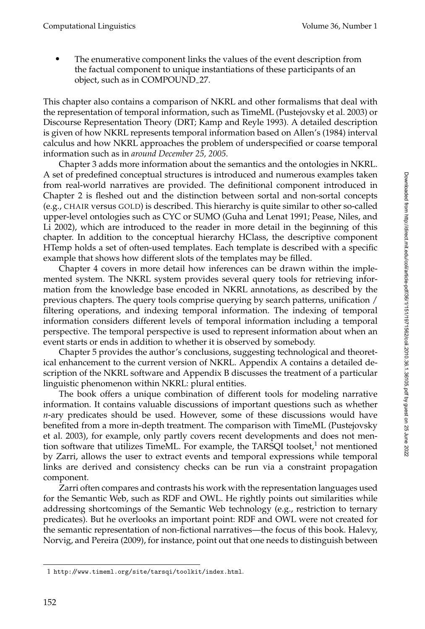The enumerative component links the values of the event description from the factual component to unique instantiations of these participants of an object, such as in COMPOUND<sub>-27</sub>.

This chapter also contains a comparison of NKRL and other formalisms that deal with the representation of temporal information, such as TimeML (Pustejovsky et al. 2003) or Discourse Representation Theory (DRT; Kamp and Reyle 1993). A detailed description is given of how NKRL represents temporal information based on Allen's (1984) interval calculus and how NKRL approaches the problem of underspecified or coarse temporal information such as in *around December 25, 2005*.

Chapter 3 adds more information about the semantics and the ontologies in NKRL. A set of predefined conceptual structures is introduced and numerous examples taken from real-world narratives are provided. The definitional component introduced in Chapter 2 is fleshed out and the distinction between sortal and non-sortal concepts (e.g., CHAIR versus GOLD) is described. This hierarchy is quite similar to other so-called upper-level ontologies suchas CYC or SUMO (Guha and Lenat 1991; Pease, Niles, and Li 2002), which are introduced to the reader in more detail in the beginning of this chapter. In addition to the conceptual hierarchy HClass, the descriptive component HTemp holds a set of often-used templates. Each template is described with a specific example that shows how different slots of the templates may be filled.

Chapter 4 covers in more detail how inferences can be drawn within the implemented system. The NKRL system provides several query tools for retrieving information from the knowledge base encoded in NKRL annotations, as described by the previous chapters. The query tools comprise querying by search patterns, unification / filtering operations, and indexing temporal information. The indexing of temporal information considers different levels of temporal information including a temporal perspective. The temporal perspective is used to represent information about when an event starts or ends in addition to whether it is observed by somebody.

Chapter 5 provides the author's conclusions, suggesting technological and theoretical enhancement to the current version of NKRL. Appendix A contains a detailed description of the NKRL software and Appendix B discusses the treatment of a particular linguistic phenomenon within NKRL: plural entities.

The book offers a unique combination of different tools for modeling narrative information. It contains valuable discussions of important questions such as whether *n*-ary predicates should be used. However, some of these discussions would have benefited from a more in-depth treatment. The comparison with TimeML (Pustejovsky et al. 2003), for example, only partly covers recent developments and does not mention software that utilizes TimeML. For example, the TARSQI toolset, $1$  not mentioned by Zarri, allows the user to extract events and temporal expressions while temporal links are derived and consistency checks can be run via a constraint propagation component.

Zarri often compares and contrasts his work with the representation languages used for the Semantic Web, such as RDF and OWL. He rightly points out similarities while addressing shortcomings of the Semantic Web technology (e.g., restriction to ternary predicates). But he overlooks an important point: RDF and OWL were not created for the semantic representation of non-fictional narratives—the focus of this book. Halevy, Norvig, and Pereira (2009), for instance, point out that one needs to distinguish between

<sup>1</sup> http://www.timeml.org/site/tarsqi/toolkit/index.html.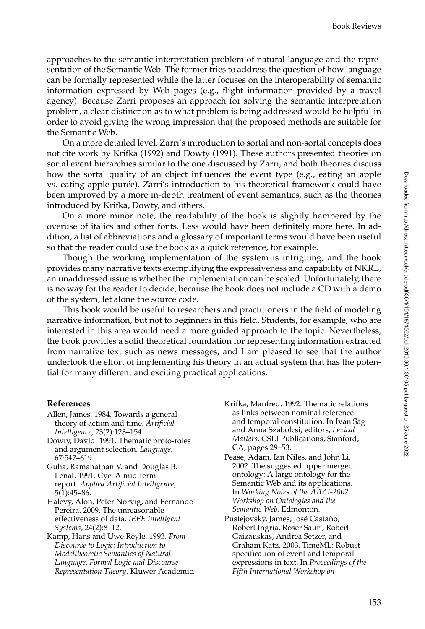approaches to the semantic interpretation problem of natural language and the representation of the Semantic Web. The former tries to address the question of how language can be formally represented while the latter focuses on the interoperability of semantic information expressed by Web pages (e.g., flight information provided by a travel agency). Because Zarri proposes an approach for solving the semantic interpretation problem, a clear distinction as to what problem is being addressed would be helpful in order to avoid giving the wrong impression that the proposed methods are suitable for the Semantic Web.

On a more detailed level, Zarri's introduction to sortal and non-sortal concepts does not cite work by Krifka (1992) and Dowty (1991). These authors presented theories on sortal event hierarchies similar to the one discussed by Zarri, and both theories discuss how the sortal quality of an object influences the event type (e.g., eating an apple vs. eating apple purée). Zarri's introduction to his theoretical framework could have been improved by a more in-depth treatment of event semantics, such as the theories introduced by Krifka, Dowty, and others.

On a more minor note, the readability of the book is slightly hampered by the overuse of italics and other fonts. Less would have been definitely more here. In addition, a list of abbreviations and a glossary of important terms would have been useful so that the reader could use the book as a quick reference, for example.

Though the working implementation of the system is intriguing, and the book provides many narrative texts exemplifying the expressiveness and capability of NKRL, an unaddressed issue is whether the implementation can be scaled. Unfortunately, there is no way for the reader to decide, because the book does not include a CD with a demo of the system, let alone the source code.

This book would be useful to researchers and practitioners in the field of modeling narrative information, but not to beginners in this field. Students, for example, who are interested in this area would need a more guided approach to the topic. Nevertheless, the book provides a solid theoretical foundation for representing information extracted from narrative text such as news messages; and I am pleased to see that the author undertook the effort of implementing his theory in an actual system that has the potential for many different and exciting practical applications.

#### **References**

- Allen, James. 1984. Towards a general theory of action and time. *Artificial Intelligence*, 23(2):123–154.
- Dowty, David. 1991. Thematic proto-roles and argument selection. *Language*, 67:547–619.
- Guha, Ramanathan V. and Douglas B. Lenat. 1991. Cyc: A mid-term report. *Applied Artificial Intelligence*, 5(1):45–86.
- Halevy, Alon, Peter Norvig, and Fernando Pereira. 2009. The unreasonable effectiveness of data. *IEEE Intelligent Systems*, 24(2):8–12.

Kamp, Hans and Uwe Reyle. 1993. *From Discourse to Logic: Introduction to Modeltheoretic Semantics of Natural Language, Formal Logic and Discourse Representation Theory*. Kluwer Academic.

- Krifka, Manfred. 1992. Thematic relations as links between nominal reference and temporal constitution. In Ivan Sag and Anna Szabolcsi, editors, *Lexical Matters*. CSLI Publications, Stanford, CA, pages 29–53.
- Pease, Adam, Ian Niles, and John Li. 2002. The suggested upper merged ontology: A large ontology for the Semantic Web and its applications. In *Working Notes of the AAAI-2002 Workshop on Ontologies and the Semantic Web*, Edmonton.
- Pustejovsky, James, José Castaño, Robert Ingria, Roser Saurí, Robert Gaizauskas, Andrea Setzer, and Graham Katz. 2003. TimeML: Robust specification of event and temporal expressions in text. In *Proceedings of the Fifth International Workshop on*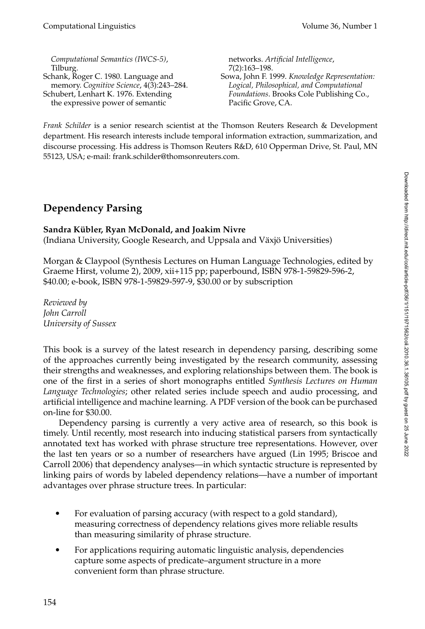*Computational Semantics (IWCS-5)*, Tilburg. Schank, Roger C. 1980. Language and memory. *Cognitive Science*, 4(3):243–284. Schubert, Lenhart K. 1976. Extending the expressive power of semantic

networks. *Artificial Intelligence*, 7(2):163–198. Sowa, John F. 1999. *Knowledge Representation: Logical, Philosophical, and Computational Foundations*. Brooks Cole Publishing Co., Pacific Grove, CA.

*Frank Schilder* is a senior research scientist at the Thomson Reuters Research & Development department. His research interests include temporal information extraction, summarization, and discourse processing. His address is Thomson Reuters R&D, 610 Opperman Drive, St. Paul, MN 55123, USA; e-mail: frank.schilder@thomsonreuters.com.

## **Dependency Parsing**

## **Sandra Kübler, Ryan McDonald, and Joakim Nivre**

(Indiana University, Google Research, and Uppsala and Växjö Universities)

Morgan & Claypool (Synthesis Lectures on Human Language Technologies, edited by Graeme Hirst, volume 2), 2009, xii+115 pp; paperbound, ISBN 978-1-59829-596-2, \$40.00; e-book, ISBN 978-1-59829-597-9, \$30.00 or by subscription

*Reviewed by John Carroll University of Sussex*

This book is a survey of the latest research in dependency parsing, describing some of the approaches currently being investigated by the research community, assessing their strengths and weaknesses, and exploring relationships between them. The book is one of the first in a series of short monographs entitled *Synthesis Lectures on Human Language Technologies*; other related series include speech and audio processing, and artificial intelligence and machine learning. A PDF version of the book can be purchased on-line for \$30.00.

Dependency parsing is currently a very active area of research, so this book is timely. Until recently, most research into inducing statistical parsers from syntactically annotated text has worked with phrase structure tree representations. However, over the last ten years or so a number of researchers have argued (Lin 1995; Briscoe and Carroll 2006) that dependency analyses—in which syntactic structure is represented by linking pairs of words by labeled dependency relations—have a number of important advantages over phrase structure trees. In particular:

- For evaluation of parsing accuracy (with respect to a gold standard), measuring correctness of dependency relations gives more reliable results than measuring similarity of phrase structure.
- For applications requiring automatic linguistic analysis, dependencies capture some aspects of predicate–argument structure in a more convenient form than phrase structure.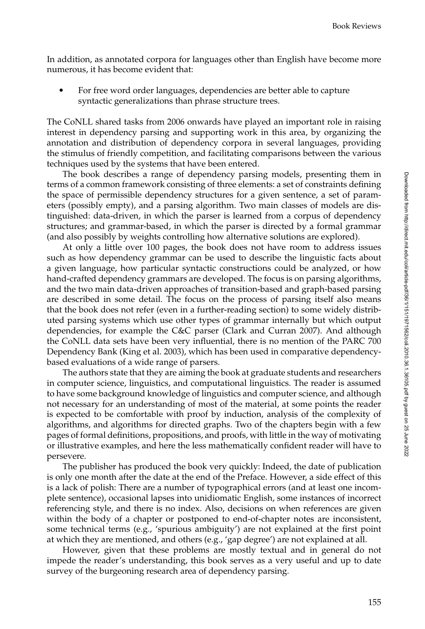In addition, as annotated corpora for languages other than English have become more numerous, it has become evident that:

 For free word order languages, dependencies are better able to capture syntactic generalizations than phrase structure trees.

The CoNLL shared tasks from 2006 onwards have played an important role in raising interest in dependency parsing and supporting work in this area, by organizing the annotation and distribution of dependency corpora in several languages, providing the stimulus of friendly competition, and facilitating comparisons between the various techniques used by the systems that have been entered.

The book describes a range of dependency parsing models, presenting them in terms of a common framework consisting of three elements: a set of constraints defining the space of permissible dependency structures for a given sentence, a set of parameters (possibly empty), and a parsing algorithm. Two main classes of models are distinguished: data-driven, in which the parser is learned from a corpus of dependency structures; and grammar-based, in which the parser is directed by a formal grammar (and also possibly by weights controlling how alternative solutions are explored).

At only a little over 100 pages, the book does not have room to address issues such as how dependency grammar can be used to describe the linguistic facts about a given language, how particular syntactic constructions could be analyzed, or how hand-crafted dependency grammars are developed. The focus is on parsing algorithms, and the two main data-driven approaches of transition-based and graph-based parsing are described in some detail. The focus on the process of parsing itself also means that the book does not refer (even in a further-reading section) to some widely distributed parsing systems which use other types of grammar internally but which output dependencies, for example the C&C parser (Clark and Curran 2007). And although the CoNLL data sets have been very influential, there is no mention of the PARC 700 Dependency Bank (King et al. 2003), which has been used in comparative dependencybased evaluations of a wide range of parsers.

The authors state that they are aiming the book at graduate students and researchers in computer science, linguistics, and computational linguistics. The reader is assumed to have some background knowledge of linguistics and computer science, and although not necessary for an understanding of most of the material, at some points the reader is expected to be comfortable with proof by induction, analysis of the complexity of algorithms, and algorithms for directed graphs. Two of the chapters begin with a few pages of formal definitions, propositions, and proofs, with little in the way of motivating or illustrative examples, and here the less mathematically confident reader will have to persevere.

The publisher has produced the book very quickly: Indeed, the date of publication is only one month after the date at the end of the Preface. However, a side effect of this is a lack of polish: There are a number of typographical errors (and at least one incomplete sentence), occasional lapses into unidiomatic English, some instances of incorrect referencing style, and there is no index. Also, decisions on when references are given within the body of a chapter or postponed to end-of-chapter notes are inconsistent, some technical terms (e.g., 'spurious ambiguity') are not explained at the first point at which they are mentioned, and others (e.g., 'gap degree') are not explained at all.

However, given that these problems are mostly textual and in general do not impede the reader's understanding, this book serves as a very useful and up to date survey of the burgeoning research area of dependency parsing.